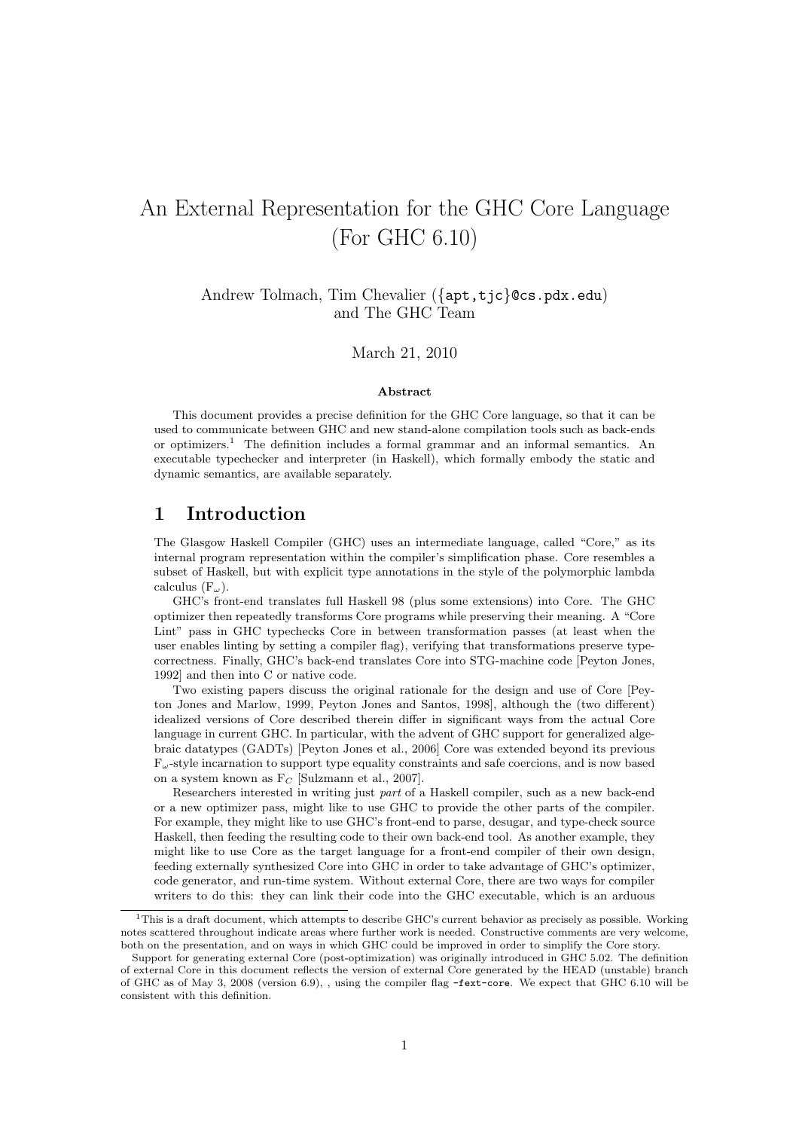# An External Representation for the GHC Core Language (For GHC 6.10)

Andrew Tolmach, Tim Chevalier ({apt,tjc}@cs.pdx.edu) and The GHC Team

March 21, 2010

#### Abstract

This document provides a precise definition for the GHC Core language, so that it can be used to communicate between GHC and new stand-alone compilation tools such as back-ends or optimizers.<sup>1</sup> The definition includes a formal grammar and an informal semantics. An executable typechecker and interpreter (in Haskell), which formally embody the static and dynamic semantics, are available separately.

# 1 Introduction

The Glasgow Haskell Compiler (GHC) uses an intermediate language, called "Core," as its internal program representation within the compiler's simplification phase. Core resembles a subset of Haskell, but with explicit type annotations in the style of the polymorphic lambda calculus  $(F_{\omega})$ .

GHC's front-end translates full Haskell 98 (plus some extensions) into Core. The GHC optimizer then repeatedly transforms Core programs while preserving their meaning. A "Core Lint" pass in GHC typechecks Core in between transformation passes (at least when the user enables linting by setting a compiler flag), verifying that transformations preserve typecorrectness. Finally, GHC's back-end translates Core into STG-machine code [Peyton Jones, 1992] and then into C or native code.

Two existing papers discuss the original rationale for the design and use of Core [Peyton Jones and Marlow, 1999, Peyton Jones and Santos, 1998], although the (two different) idealized versions of Core described therein differ in significant ways from the actual Core language in current GHC. In particular, with the advent of GHC support for generalized algebraic datatypes (GADTs) [Peyton Jones et al., 2006] Core was extended beyond its previous  $F_{\omega}$ -style incarnation to support type equality constraints and safe coercions, and is now based on a system known as  $F_C$  [Sulzmann et al., 2007].

Researchers interested in writing just part of a Haskell compiler, such as a new back-end or a new optimizer pass, might like to use GHC to provide the other parts of the compiler. For example, they might like to use GHC's front-end to parse, desugar, and type-check source Haskell, then feeding the resulting code to their own back-end tool. As another example, they might like to use Core as the target language for a front-end compiler of their own design, feeding externally synthesized Core into GHC in order to take advantage of GHC's optimizer, code generator, and run-time system. Without external Core, there are two ways for compiler writers to do this: they can link their code into the GHC executable, which is an arduous

 $1$ This is a draft document, which attempts to describe GHC's current behavior as precisely as possible. Working notes scattered throughout indicate areas where further work is needed. Constructive comments are very welcome, both on the presentation, and on ways in which GHC could be improved in order to simplify the Core story.

Support for generating external Core (post-optimization) was originally introduced in GHC 5.02. The definition of external Core in this document reflects the version of external Core generated by the HEAD (unstable) branch of GHC as of May 3, 2008 (version 6.9), , using the compiler flag -fext-core. We expect that GHC 6.10 will be consistent with this definition.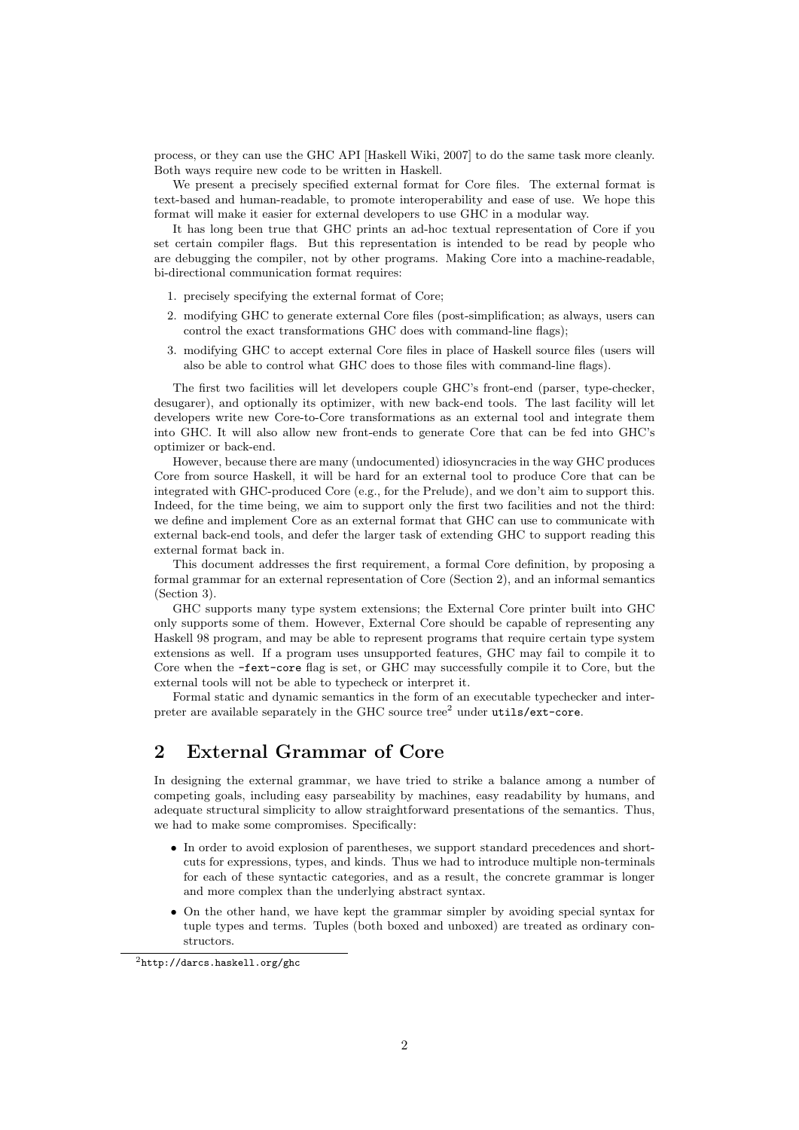process, or they can use the GHC API [Haskell Wiki, 2007] to do the same task more cleanly. Both ways require new code to be written in Haskell.

We present a precisely specified external format for Core files. The external format is text-based and human-readable, to promote interoperability and ease of use. We hope this format will make it easier for external developers to use GHC in a modular way.

It has long been true that GHC prints an ad-hoc textual representation of Core if you set certain compiler flags. But this representation is intended to be read by people who are debugging the compiler, not by other programs. Making Core into a machine-readable, bi-directional communication format requires:

- 1. precisely specifying the external format of Core;
- 2. modifying GHC to generate external Core files (post-simplification; as always, users can control the exact transformations GHC does with command-line flags);
- 3. modifying GHC to accept external Core files in place of Haskell source files (users will also be able to control what GHC does to those files with command-line flags).

The first two facilities will let developers couple GHC's front-end (parser, type-checker, desugarer), and optionally its optimizer, with new back-end tools. The last facility will let developers write new Core-to-Core transformations as an external tool and integrate them into GHC. It will also allow new front-ends to generate Core that can be fed into GHC's optimizer or back-end.

However, because there are many (undocumented) idiosyncracies in the way GHC produces Core from source Haskell, it will be hard for an external tool to produce Core that can be integrated with GHC-produced Core (e.g., for the Prelude), and we don't aim to support this. Indeed, for the time being, we aim to support only the first two facilities and not the third: we define and implement Core as an external format that GHC can use to communicate with external back-end tools, and defer the larger task of extending GHC to support reading this external format back in.

This document addresses the first requirement, a formal Core definition, by proposing a formal grammar for an external representation of Core (Section 2), and an informal semantics (Section 3).

GHC supports many type system extensions; the External Core printer built into GHC only supports some of them. However, External Core should be capable of representing any Haskell 98 program, and may be able to represent programs that require certain type system extensions as well. If a program uses unsupported features, GHC may fail to compile it to Core when the -fext-core flag is set, or GHC may successfully compile it to Core, but the external tools will not be able to typecheck or interpret it.

Formal static and dynamic semantics in the form of an executable typechecker and interpreter are available separately in the GHC source  $tree<sup>2</sup>$  under  $utils/ext-core$ .

# 2 External Grammar of Core

In designing the external grammar, we have tried to strike a balance among a number of competing goals, including easy parseability by machines, easy readability by humans, and adequate structural simplicity to allow straightforward presentations of the semantics. Thus, we had to make some compromises. Specifically:

- In order to avoid explosion of parentheses, we support standard precedences and shortcuts for expressions, types, and kinds. Thus we had to introduce multiple non-terminals for each of these syntactic categories, and as a result, the concrete grammar is longer and more complex than the underlying abstract syntax.
- On the other hand, we have kept the grammar simpler by avoiding special syntax for tuple types and terms. Tuples (both boxed and unboxed) are treated as ordinary constructors.

<sup>2</sup>http://darcs.haskell.org/ghc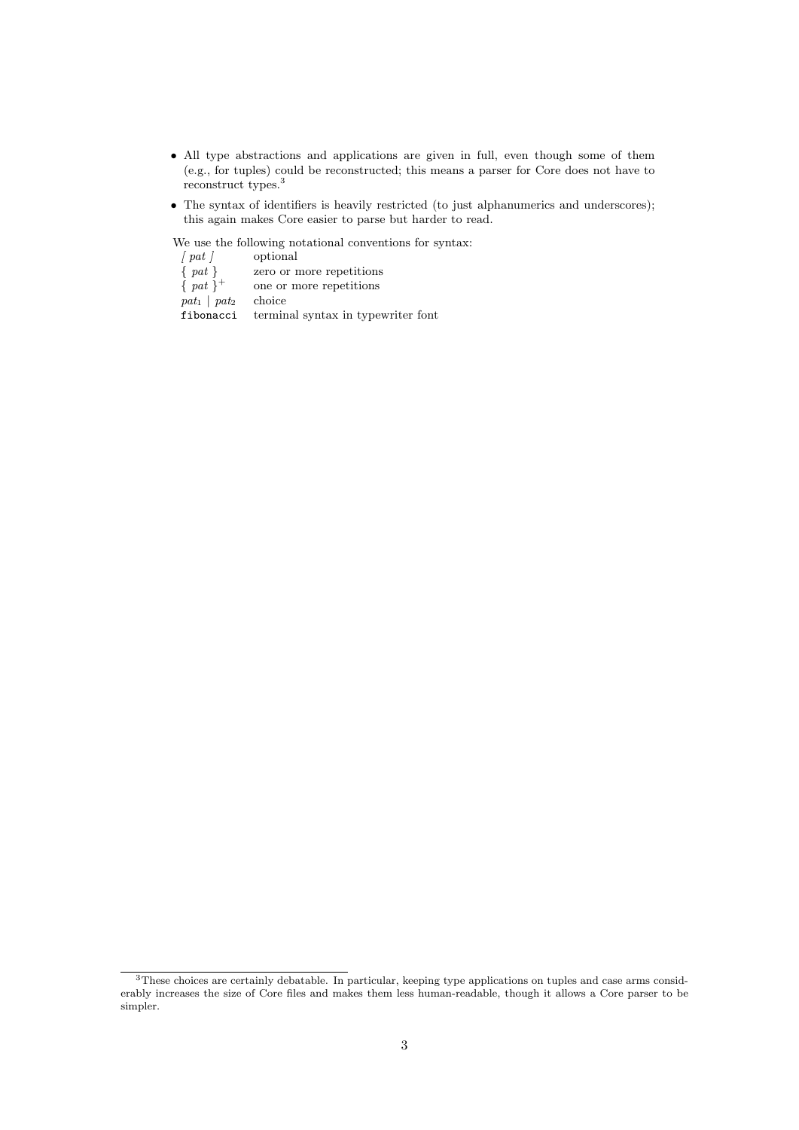- All type abstractions and applications are given in full, even though some of them (e.g., for tuples) could be reconstructed; this means a parser for Core does not have to reconstruct types.<sup>3</sup>
- The syntax of identifiers is heavily restricted (to just alphanumerics and underscores); this again makes Core easier to parse but harder to read.

We use the following notational conventions for syntax:<br>  $\left[\right.pat\,\left.\right]$   $\qquad$  optional optional { pat } zero or more repetitions  $\{$  pat  $\}$ <sup>+</sup> one or more repetitions  $pat_1 | pat_2$  choice fibonacci terminal syntax in typewriter font

<sup>&</sup>lt;sup>3</sup>These choices are certainly debatable. In particular, keeping type applications on tuples and case arms considerably increases the size of Core files and makes them less human-readable, though it allows a Core parser to be simpler.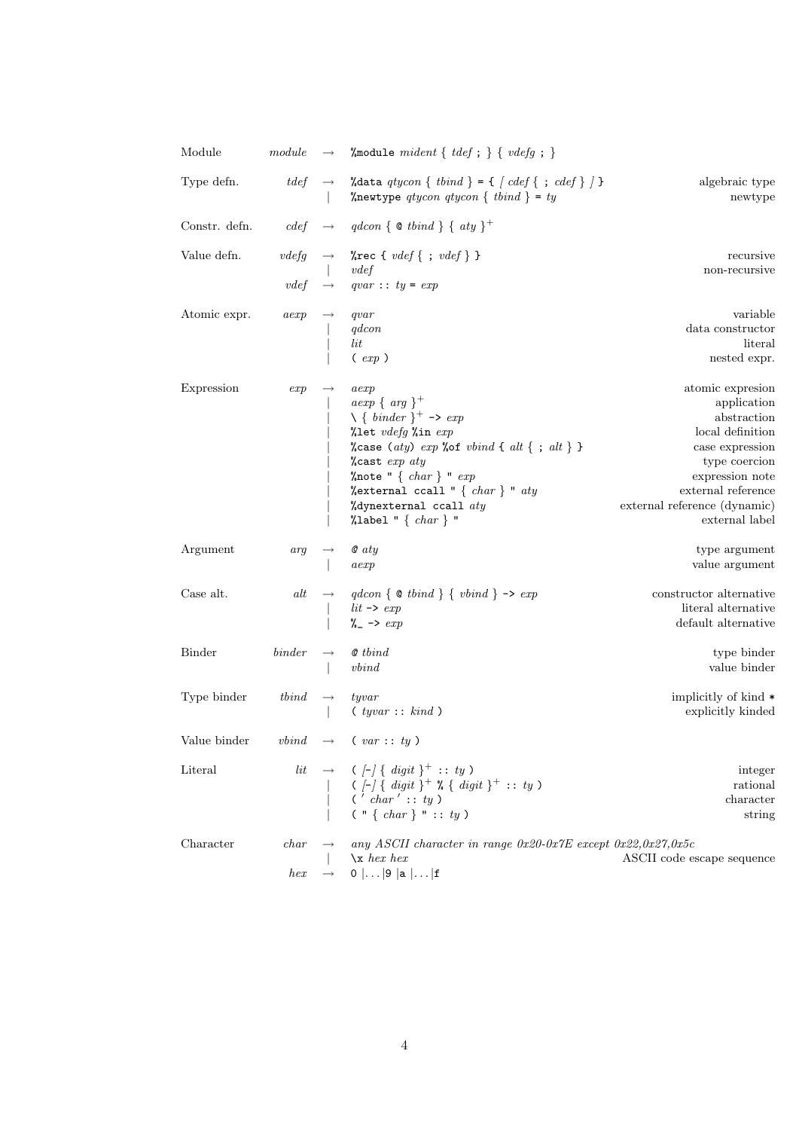| Module                           | module                                                                       | $\longrightarrow$  | % module mident { $tdef$ ; } { $vdefg$ ; }                                                                                                                                                                                                                                                                     |                                                                                                                                                                                                   |
|----------------------------------|------------------------------------------------------------------------------|--------------------|----------------------------------------------------------------------------------------------------------------------------------------------------------------------------------------------------------------------------------------------------------------------------------------------------------------|---------------------------------------------------------------------------------------------------------------------------------------------------------------------------------------------------|
| Type defn.                       |                                                                              | $tdef \rightarrow$ | %data qtycon { tbind } = { $\{ cdef \} ; cdef \}$ } }<br>%newtype qtycon qtycon { tbind } = ty                                                                                                                                                                                                                 | algebraic type<br>newtype                                                                                                                                                                         |
| Constr. defn. $cdef \rightarrow$ |                                                                              |                    | $qdcon \{ \otimes tbind \} \{ aty \}^+$                                                                                                                                                                                                                                                                        |                                                                                                                                                                                                   |
| Value defn.                      | vdefg<br>vdef                                                                | $\longrightarrow$  | %rec { $vdef$ { ; $vdef$ } }<br>vdef<br>$qvar :: ty = exp$                                                                                                                                                                                                                                                     | recursive<br>non-recursive                                                                                                                                                                        |
| Atomic expr.                     | aexp                                                                         |                    | qvar<br>qdcon<br>$_{lit}$<br>$(\exp)$                                                                                                                                                                                                                                                                          | variable<br>data constructor<br>literal<br>nested expr.                                                                                                                                           |
| Expression                       | exp                                                                          |                    | aexp<br>$aexp\{arg\}^+$<br>$\setminus \{ \text{ \textit{binder}} \}^+$ -> exp<br>%let vdefg %in exp<br>%case (aty) $exp$ %of $vbind \{ alt \}$ ; alt} }<br>$\lambda$ cast exp aty<br>%note " $\{char\}$ " $exp$<br>% external ccall " { $char$ } " $aty$<br>%dynexternal ccall $aty$<br>%label " $\{ char\}$ " | atomic expresion<br>application<br>abstraction<br>local definition<br>case expression<br>type coercion<br>expression note<br>external reference<br>external reference (dynamic)<br>external label |
| Argument                         | arg                                                                          |                    | $\mathcal{Q}$ aty<br>aexp                                                                                                                                                                                                                                                                                      | type argument<br>value argument                                                                                                                                                                   |
| Case alt.                        | alt                                                                          |                    | $qdcon \{ \otimes tbind \}$ { $vbind \} \rightarrow exp$<br>$\begin{array}{l} lit \rightarrow \ exp \\ \gamma \rightarrow \ exp \end{array}$                                                                                                                                                                   | constructor alternative<br>literal alternative<br>default alternative                                                                                                                             |
| <b>Binder</b>                    | $\emph{binder}$                                                              |                    | <b>@</b> tbind<br>vbind                                                                                                                                                                                                                                                                                        | type binder<br>value binder                                                                                                                                                                       |
| Type binder                      | $\boldsymbol{t} \boldsymbol{b} \boldsymbol{i} \boldsymbol{n} \boldsymbol{d}$ | $\longrightarrow$  | tyvar<br>(yvar:: kind)                                                                                                                                                                                                                                                                                         | implicitly of kind $*$<br>explicitly kinded                                                                                                                                                       |
| Value binder                     |                                                                              |                    | $vbind \rightarrow (var::ty)$                                                                                                                                                                                                                                                                                  |                                                                                                                                                                                                   |
| Literal                          |                                                                              |                    | lit $\rightarrow$ ([-] { digit } <sup>+</sup> : : ty )<br>  ([-] { digit } <sup>+</sup> % { digit } <sup>+</sup> : : ty )<br>  ('char' : : ty )<br>  (" { char } " : : ty )                                                                                                                                    | integer<br>rational<br>character<br>string                                                                                                                                                        |
| Character                        | char<br>hex                                                                  |                    | any ASCII character in range $0x20-0x7E$ except $0x22,0x27,0x5c$<br>$x$ hex hex<br>$0$ $\ldots$  9  a $\ldots$  f                                                                                                                                                                                              | ASCII code escape sequence                                                                                                                                                                        |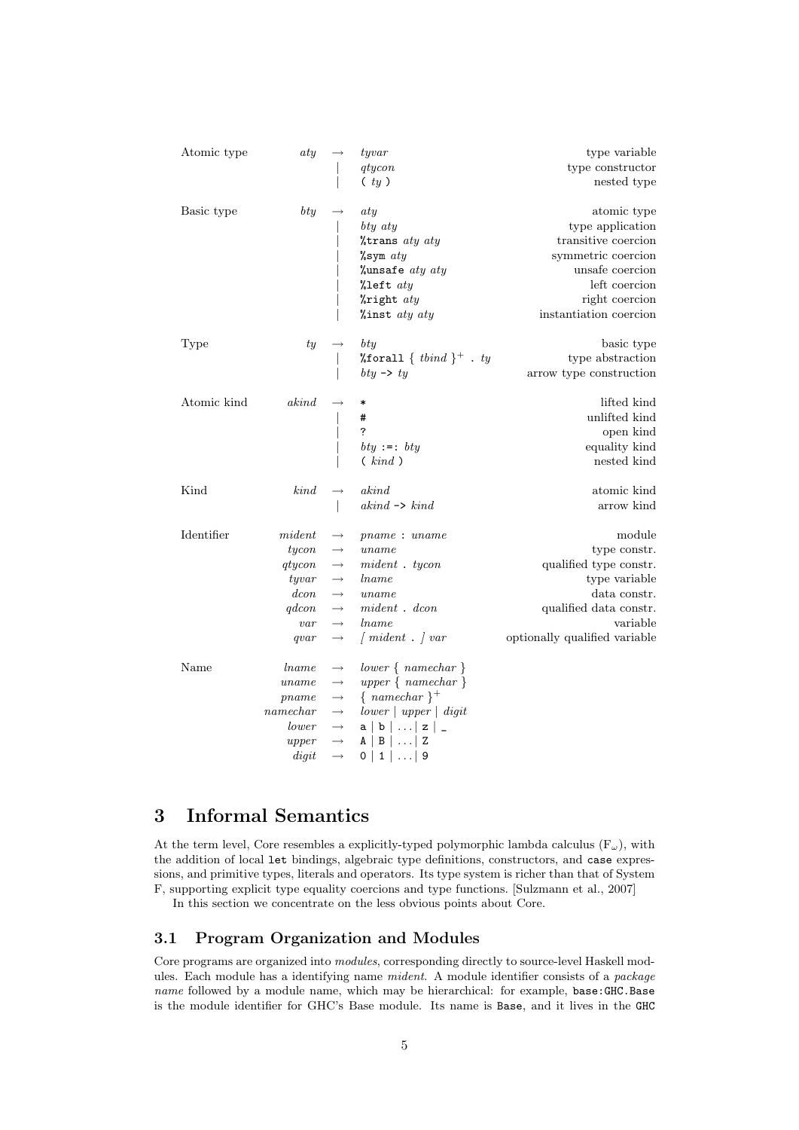| Atomic type | aty          |                   | tyvar                                   | type variable                 |
|-------------|--------------|-------------------|-----------------------------------------|-------------------------------|
|             |              |                   | qtycon                                  | type constructor              |
|             |              |                   | (y)                                     | nested type                   |
| Basic type  | $_{bty}$     |                   | aty                                     | atomic type                   |
|             |              |                   | bty aty                                 | type application              |
|             |              |                   | %trans aty aty                          | transitive coercion           |
|             |              |                   | $\sqrt{\text{sym}}$ aty                 | symmetric coercion            |
|             |              |                   | %unsafe $aty$ $aty$                     | unsafe coercion               |
|             |              |                   | %left $aty$                             | left coercion                 |
|             |              |                   | $\lambda$ right $aty$                   | right coercion                |
|             |              |                   | $%$ inst aty aty                        | instantiation coercion        |
| Type        | ty           |                   | bty                                     | basic type                    |
|             |              |                   | %forall { $tbind$ } <sup>+</sup> . $ty$ | type abstraction              |
|             |              |                   | bty $\rightarrow$ ty                    | arrow type construction       |
| Atomic kind | akind        |                   |                                         | lifted kind                   |
|             |              |                   | #                                       | unlifted kind                 |
|             |              |                   | $\overline{?}$                          | open kind                     |
|             |              |                   | bty :=: bty                             | equality kind                 |
|             |              |                   | (kind)                                  | nested kind                   |
| Kind        | kind         |                   | akind                                   | atomic kind                   |
|             |              |                   | $akind \rightarrow kind$                | arrow kind                    |
| Identifier  | $\it mident$ |                   | pname: uname                            | module                        |
|             | tycon        | $\longrightarrow$ | uname                                   | type constr.                  |
|             | qtycon       | $\longrightarrow$ | $mident$ . tycon                        | qualified type constr.        |
|             | tyvar        | $\longrightarrow$ | <i>lname</i>                            | type variable                 |
|             | dcon         | $\longrightarrow$ | uname                                   | data constr.                  |
|             | qdcon        | $\longrightarrow$ | $mid$ $\ldots$                          | qualified data constr.        |
|             | var          | $\longrightarrow$ | <i>lname</i>                            | variable                      |
|             | qvar         | $\longrightarrow$ | $\int mident$ . $\int var$              | optionally qualified variable |
| Name        | lname        | $\longrightarrow$ | $lower \{ namechar \}$                  |                               |
|             | uname        | $\longrightarrow$ | $upper \{ namechar \}$                  |                               |
|             | pname        | $\longrightarrow$ | $\{namechar\}^+$                        |                               |
|             | namechar     | $\longrightarrow$ | $lower \mid upper \mid digit$           |                               |
|             | lower        | $\longrightarrow$ | $a   b   \ldots   z  $                  |                               |
|             | upper        | $\longrightarrow$ | $A \mid B \mid \ldots \mid Z$           |                               |
|             | digit        | $\longrightarrow$ | 0   1      9                            |                               |

# 3 Informal Semantics

At the term level, Core resembles a explicitly-typed polymorphic lambda calculus  $(F_{\omega})$ , with the addition of local let bindings, algebraic type definitions, constructors, and case expressions, and primitive types, literals and operators. Its type system is richer than that of System F, supporting explicit type equality coercions and type functions. [Sulzmann et al., 2007]

In this section we concentrate on the less obvious points about Core.

## 3.1 Program Organization and Modules

Core programs are organized into modules, corresponding directly to source-level Haskell modules. Each module has a identifying name mident. A module identifier consists of a package name followed by a module name, which may be hierarchical: for example, base:GHC.Base is the module identifier for GHC's Base module. Its name is Base, and it lives in the GHC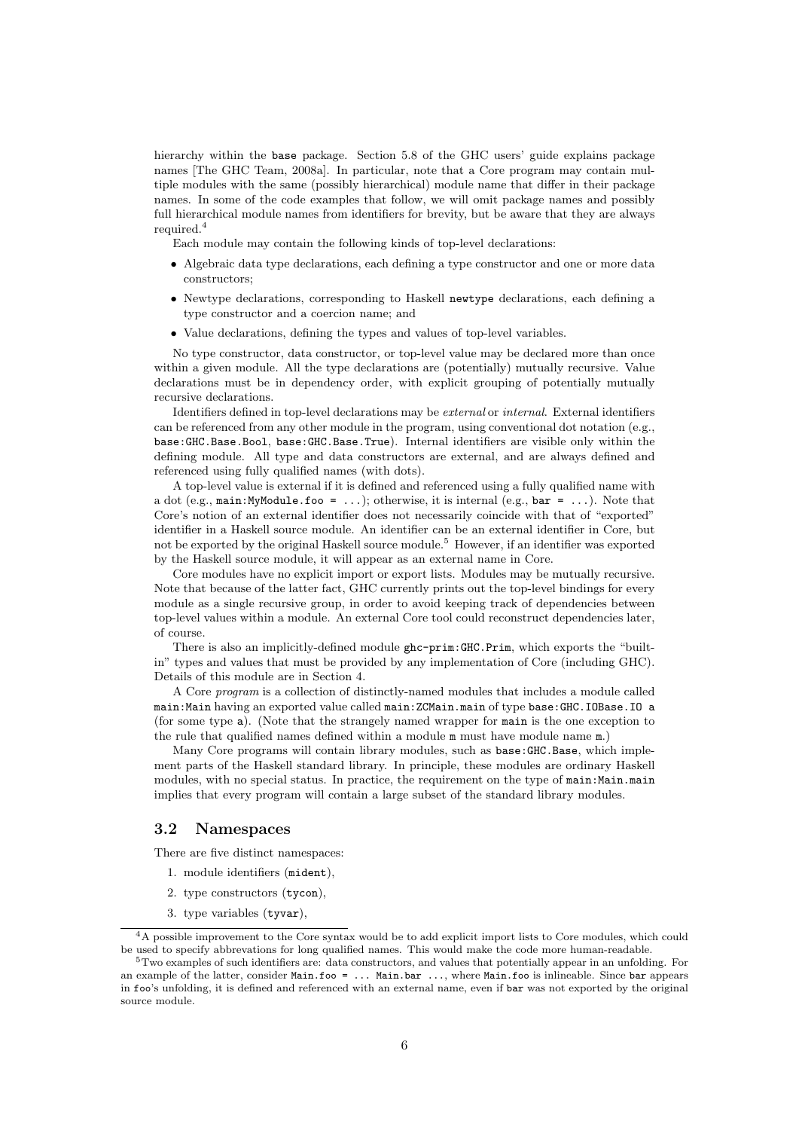hierarchy within the base package. Section 5.8 of the GHC users' guide explains package names [The GHC Team, 2008a]. In particular, note that a Core program may contain multiple modules with the same (possibly hierarchical) module name that differ in their package names. In some of the code examples that follow, we will omit package names and possibly full hierarchical module names from identifiers for brevity, but be aware that they are always required.<sup>4</sup>

Each module may contain the following kinds of top-level declarations:

- Algebraic data type declarations, each defining a type constructor and one or more data constructors;
- Newtype declarations, corresponding to Haskell newtype declarations, each defining a type constructor and a coercion name; and
- Value declarations, defining the types and values of top-level variables.

No type constructor, data constructor, or top-level value may be declared more than once within a given module. All the type declarations are (potentially) mutually recursive. Value declarations must be in dependency order, with explicit grouping of potentially mutually recursive declarations.

Identifiers defined in top-level declarations may be external or internal. External identifiers can be referenced from any other module in the program, using conventional dot notation (e.g., base:GHC.Base.Bool, base:GHC.Base.True). Internal identifiers are visible only within the defining module. All type and data constructors are external, and are always defined and referenced using fully qualified names (with dots).

A top-level value is external if it is defined and referenced using a fully qualified name with a dot (e.g., main:MyModule.foo = ...); otherwise, it is internal (e.g., bar = ...). Note that Core's notion of an external identifier does not necessarily coincide with that of "exported" identifier in a Haskell source module. An identifier can be an external identifier in Core, but not be exported by the original Haskell source module.<sup>5</sup> However, if an identifier was exported by the Haskell source module, it will appear as an external name in Core.

Core modules have no explicit import or export lists. Modules may be mutually recursive. Note that because of the latter fact, GHC currently prints out the top-level bindings for every module as a single recursive group, in order to avoid keeping track of dependencies between top-level values within a module. An external Core tool could reconstruct dependencies later, of course.

There is also an implicitly-defined module ghc-prim:GHC.Prim, which exports the "builtin" types and values that must be provided by any implementation of Core (including GHC). Details of this module are in Section 4.

A Core program is a collection of distinctly-named modules that includes a module called main:Main having an exported value called main:ZCMain.main of type base:GHC.IOBase.IO a (for some type a). (Note that the strangely named wrapper for main is the one exception to the rule that qualified names defined within a module m must have module name m.)

Many Core programs will contain library modules, such as base:GHC.Base, which implement parts of the Haskell standard library. In principle, these modules are ordinary Haskell modules, with no special status. In practice, the requirement on the type of main: Main.main implies that every program will contain a large subset of the standard library modules.

#### 3.2 Namespaces

There are five distinct namespaces:

- 1. module identifiers (mident),
- 2. type constructors (tycon),
- 3. type variables (tyvar),

<sup>4</sup>A possible improvement to the Core syntax would be to add explicit import lists to Core modules, which could be used to specify abbrevations for long qualified names. This would make the code more human-readable.

<sup>5</sup>Two examples of such identifiers are: data constructors, and values that potentially appear in an unfolding. For an example of the latter, consider Main.foo = ... Main.bar ..., where Main.foo is inlineable. Since bar appears in foo's unfolding, it is defined and referenced with an external name, even if bar was not exported by the original source module.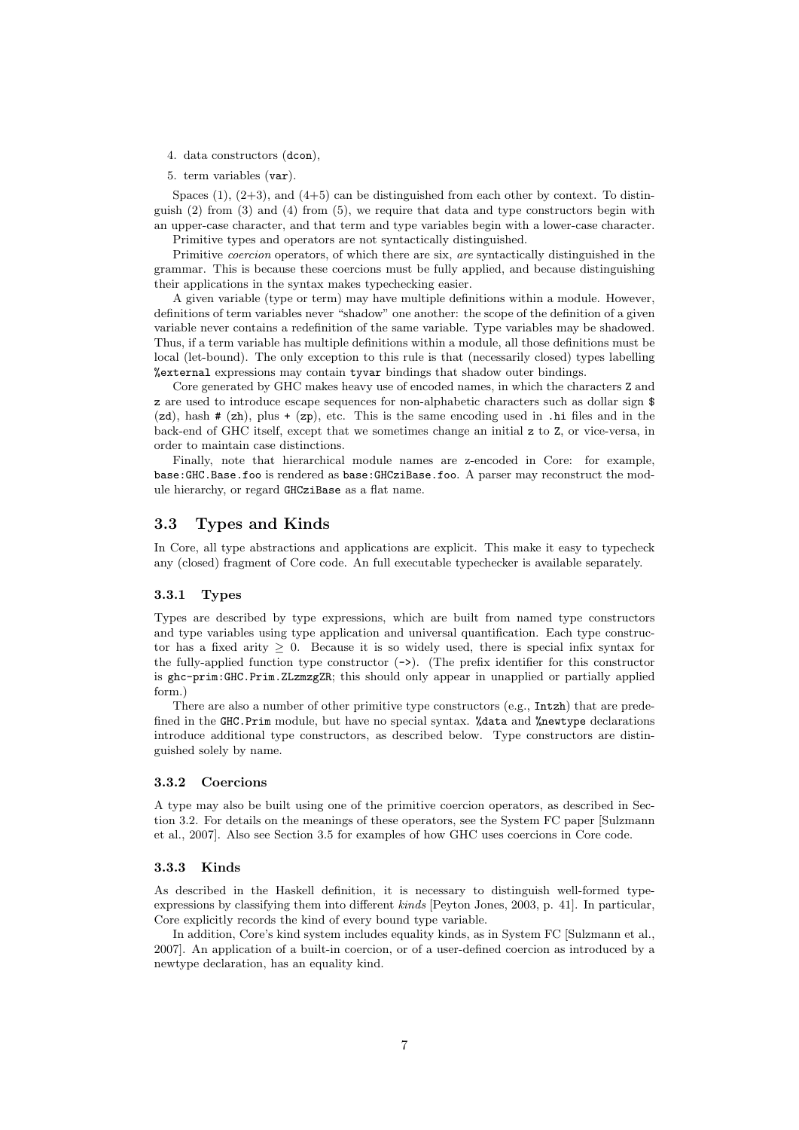- 4. data constructors (dcon),
- 5. term variables (var).

Spaces  $(1)$ ,  $(2+3)$ , and  $(4+5)$  can be distinguished from each other by context. To distinguish  $(2)$  from  $(3)$  and  $(4)$  from  $(5)$ , we require that data and type constructors begin with an upper-case character, and that term and type variables begin with a lower-case character.

Primitive types and operators are not syntactically distinguished.

Primitive *coercion* operators, of which there are six, are syntactically distinguished in the grammar. This is because these coercions must be fully applied, and because distinguishing their applications in the syntax makes typechecking easier.

A given variable (type or term) may have multiple definitions within a module. However, definitions of term variables never "shadow" one another: the scope of the definition of a given variable never contains a redefinition of the same variable. Type variables may be shadowed. Thus, if a term variable has multiple definitions within a module, all those definitions must be local (let-bound). The only exception to this rule is that (necessarily closed) types labelling %external expressions may contain tyvar bindings that shadow outer bindings.

Core generated by GHC makes heavy use of encoded names, in which the characters Z and z are used to introduce escape sequences for non-alphabetic characters such as dollar sign \$  $(zd)$ , hash  $# (zh)$ , plus  $+ (zp)$ , etc. This is the same encoding used in .hi files and in the back-end of GHC itself, except that we sometimes change an initial z to Z, or vice-versa, in order to maintain case distinctions.

Finally, note that hierarchical module names are z-encoded in Core: for example, base:GHC.Base.foo is rendered as base:GHCziBase.foo. A parser may reconstruct the module hierarchy, or regard GHCziBase as a flat name.

## 3.3 Types and Kinds

In Core, all type abstractions and applications are explicit. This make it easy to typecheck any (closed) fragment of Core code. An full executable typechecker is available separately.

#### 3.3.1 Types

Types are described by type expressions, which are built from named type constructors and type variables using type application and universal quantification. Each type constructor has a fixed arity  $\geq 0$ . Because it is so widely used, there is special infix syntax for the fully-applied function type constructor  $(-\epsilon)$ . (The prefix identifier for this constructor is ghc-prim:GHC.Prim.ZLzmzgZR; this should only appear in unapplied or partially applied form.)

There are also a number of other primitive type constructors (e.g., Intzh) that are predefined in the GHC.Prim module, but have no special syntax. %data and %newtype declarations introduce additional type constructors, as described below. Type constructors are distinguished solely by name.

#### 3.3.2 Coercions

A type may also be built using one of the primitive coercion operators, as described in Section 3.2. For details on the meanings of these operators, see the System FC paper [Sulzmann et al., 2007]. Also see Section 3.5 for examples of how GHC uses coercions in Core code.

#### 3.3.3 Kinds

As described in the Haskell definition, it is necessary to distinguish well-formed typeexpressions by classifying them into different kinds [Peyton Jones, 2003, p. 41]. In particular, Core explicitly records the kind of every bound type variable.

In addition, Core's kind system includes equality kinds, as in System FC [Sulzmann et al., 2007]. An application of a built-in coercion, or of a user-defined coercion as introduced by a newtype declaration, has an equality kind.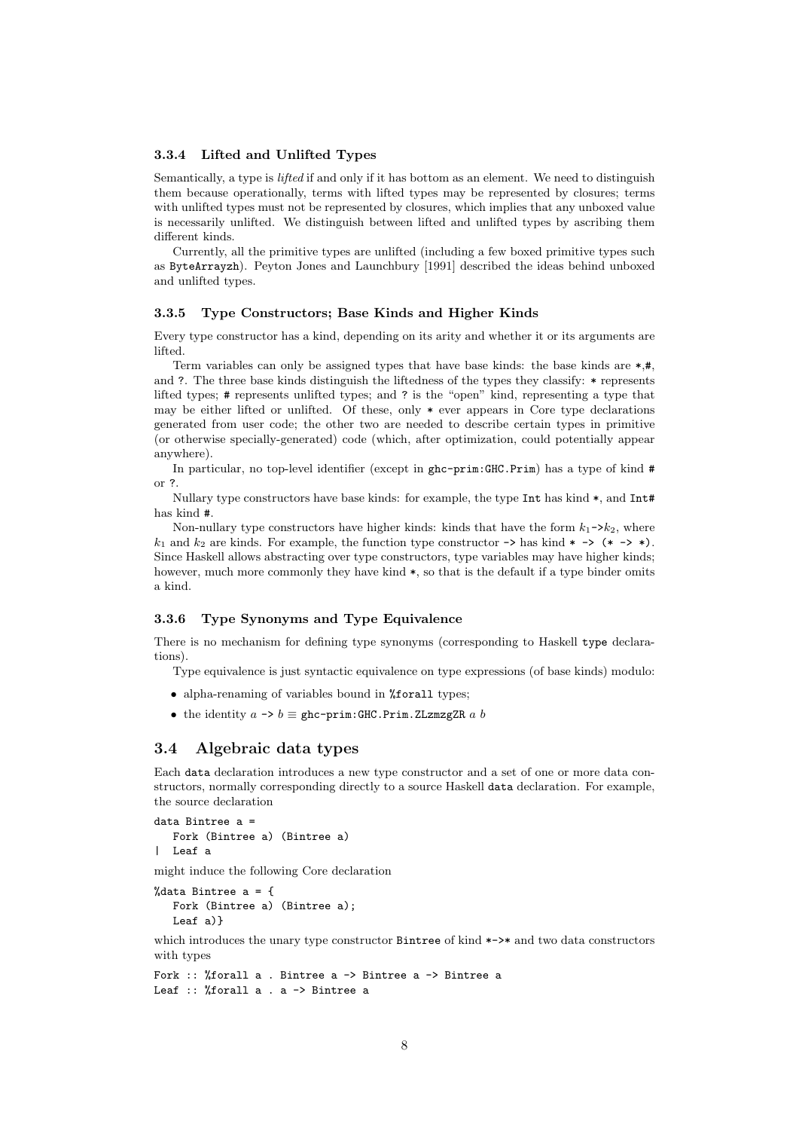#### 3.3.4 Lifted and Unlifted Types

Semantically, a type is *lifted* if and only if it has bottom as an element. We need to distinguish them because operationally, terms with lifted types may be represented by closures; terms with unlifted types must not be represented by closures, which implies that any unboxed value is necessarily unlifted. We distinguish between lifted and unlifted types by ascribing them different kinds.

Currently, all the primitive types are unlifted (including a few boxed primitive types such as ByteArrayzh). Peyton Jones and Launchbury [1991] described the ideas behind unboxed and unlifted types.

#### 3.3.5 Type Constructors; Base Kinds and Higher Kinds

Every type constructor has a kind, depending on its arity and whether it or its arguments are lifted.

Term variables can only be assigned types that have base kinds: the base kinds are  $*,\#$ . and ?. The three base kinds distinguish the liftedness of the types they classify: \* represents lifted types; # represents unlifted types; and ? is the "open" kind, representing a type that may be either lifted or unlifted. Of these, only  $*$  ever appears in Core type declarations generated from user code; the other two are needed to describe certain types in primitive (or otherwise specially-generated) code (which, after optimization, could potentially appear anywhere).

In particular, no top-level identifier (except in ghc-prim:GHC.Prim) has a type of kind # or ?.

Nullary type constructors have base kinds: for example, the type Int has kind \*, and Int# has kind #.

Non-nullary type constructors have higher kinds: kinds that have the form  $k_1$ -> $k_2$ , where  $k_1$  and  $k_2$  are kinds. For example, the function type constructor  $\rightarrow$  has kind  $\ast$   $\rightarrow$   $(\ast$   $\rightarrow \ast)$ . Since Haskell allows abstracting over type constructors, type variables may have higher kinds; however, much more commonly they have kind  $\ast$ , so that is the default if a type binder omits a kind.

#### 3.3.6 Type Synonyms and Type Equivalence

There is no mechanism for defining type synonyms (corresponding to Haskell type declarations).

Type equivalence is just syntactic equivalence on type expressions (of base kinds) modulo:

- alpha-renaming of variables bound in %forall types;
- the identity  $a \rightarrow b \equiv$  ghc-prim:GHC.Prim.ZLzmzgZR a b

#### 3.4 Algebraic data types

Each data declaration introduces a new type constructor and a set of one or more data constructors, normally corresponding directly to a source Haskell data declaration. For example, the source declaration

```
data Bintree a =
  Fork (Bintree a) (Bintree a)
  Leaf a
```
might induce the following Core declaration

```
%data Bintree a = {
  Fork (Bintree a) (Bintree a);
  Leaf a)}
```
which introduces the unary type constructor Bintree of kind \*->\* and two data constructors with types

```
Fork :: %forall a . Bintree a -> Bintree a -> Bintree a
Leaf :: %forall a . a -> Bintree a
```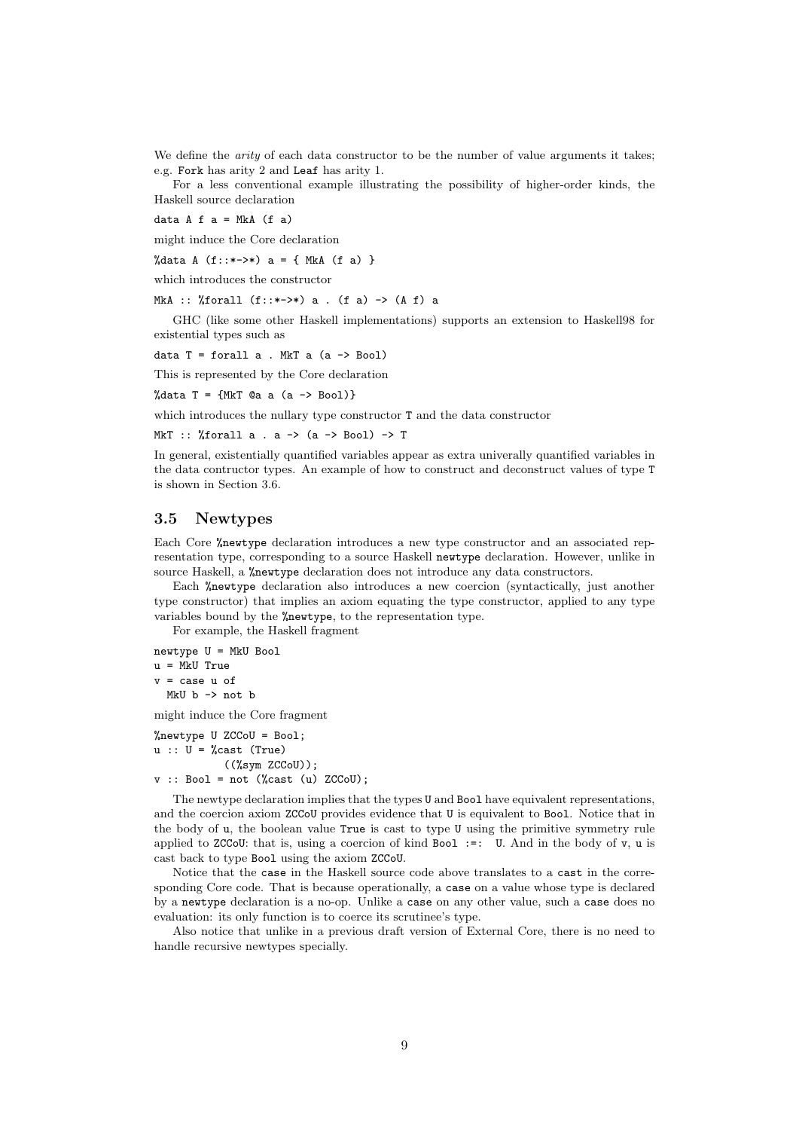We define the *arity* of each data constructor to be the number of value arguments it takes; e.g. Fork has arity 2 and Leaf has arity 1.

For a less conventional example illustrating the possibility of higher-order kinds, the Haskell source declaration

data  $A f a = MkA (f a)$ 

might induce the Core declaration

%data A  $(f::*->*)$  a = { MkA  $(f a)$  }

which introduces the constructor

MkA :: %forall  $(f::*->*)$  a .  $(f a) \rightarrow (A f) a$ 

GHC (like some other Haskell implementations) supports an extension to Haskell98 for existential types such as

data  $T =$  forall a . MkT a (a  $\rightarrow$  Bool)

This is represented by the Core declaration

%data  $T = \{MKT \text{ @a a (a -> Boo1)}\}$ 

which introduces the nullary type constructor T and the data constructor

MkT :: %forall a . a -> (a -> Bool) -> T

In general, existentially quantified variables appear as extra univerally quantified variables in the data contructor types. An example of how to construct and deconstruct values of type T is shown in Section 3.6.

#### 3.5 Newtypes

Each Core %newtype declaration introduces a new type constructor and an associated representation type, corresponding to a source Haskell newtype declaration. However, unlike in source Haskell, a %newtype declaration does not introduce any data constructors.

Each %newtype declaration also introduces a new coercion (syntactically, just another type constructor) that implies an axiom equating the type constructor, applied to any type variables bound by the %newtype, to the representation type.

For example, the Haskell fragment

newtype U = MkU Bool u = MkU True v = case u of

MkU b -> not b

might induce the Core fragment

%newtype U ZCCoU = Bool;  $u :: U = %cast (True)$  $((\%sym ZCCoU));$  $v$  :: Bool = not (%cast (u) ZCCoU);

The newtype declaration implies that the types U and Bool have equivalent representations, and the coercion axiom ZCCoU provides evidence that U is equivalent to Bool. Notice that in the body of u, the boolean value True is cast to type U using the primitive symmetry rule

applied to ZCCoU: that is, using a coercion of kind Bool :=: U. And in the body of  $v$ , u is cast back to type Bool using the axiom ZCCoU. Notice that the case in the Haskell source code above translates to a cast in the corre-

sponding Core code. That is because operationally, a case on a value whose type is declared by a newtype declaration is a no-op. Unlike a case on any other value, such a case does no evaluation: its only function is to coerce its scrutinee's type.

Also notice that unlike in a previous draft version of External Core, there is no need to handle recursive newtypes specially.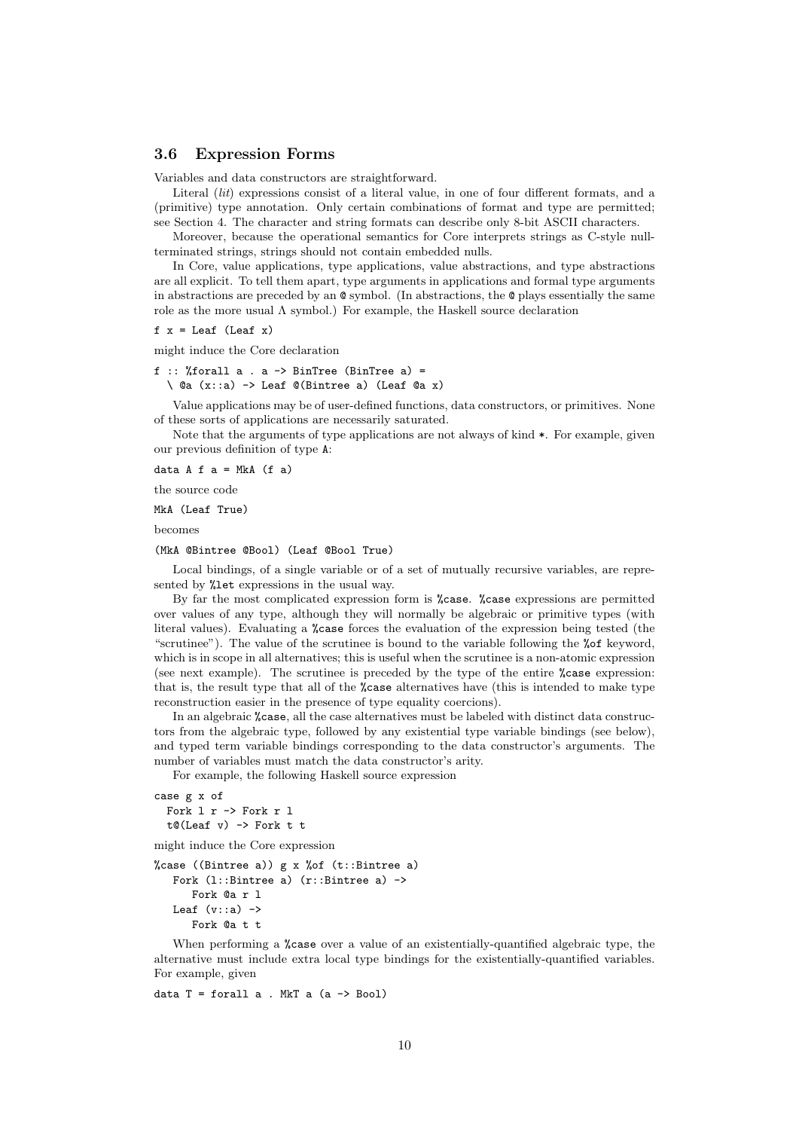### 3.6 Expression Forms

Variables and data constructors are straightforward.

Literal *(lit)* expressions consist of a literal value, in one of four different formats, and a (primitive) type annotation. Only certain combinations of format and type are permitted; see Section 4. The character and string formats can describe only 8-bit ASCII characters.

Moreover, because the operational semantics for Core interprets strings as C-style nullterminated strings, strings should not contain embedded nulls.

In Core, value applications, type applications, value abstractions, and type abstractions are all explicit. To tell them apart, type arguments in applications and formal type arguments in abstractions are preceded by an  $\mathcal Q$  symbol. (In abstractions, the  $\mathcal Q$  plays essentially the same role as the more usual Λ symbol.) For example, the Haskell source declaration

$$
f
$$
 x = Leaf (Leaf x)

might induce the Core declaration

f :: %forall  $a$  .  $a \rightarrow$  BinTree (BinTree  $a$ ) = \ @a (x::a) -> Leaf @(Bintree a) (Leaf @a x)

Value applications may be of user-defined functions, data constructors, or primitives. None of these sorts of applications are necessarily saturated.

Note that the arguments of type applications are not always of kind \*. For example, given our previous definition of type A:

data  $A$  f  $a = MkA$  (f  $a$ )

the source code

MkA (Leaf True)

becomes

#### (MkA @Bintree @Bool) (Leaf @Bool True)

Local bindings, of a single variable or of a set of mutually recursive variables, are represented by %let expressions in the usual way.

By far the most complicated expression form is %case. %case expressions are permitted over values of any type, although they will normally be algebraic or primitive types (with literal values). Evaluating a %case forces the evaluation of the expression being tested (the "scrutinee"). The value of the scrutinee is bound to the variable following the %of keyword, which is in scope in all alternatives; this is useful when the scrutinee is a non-atomic expression (see next example). The scrutinee is preceded by the type of the entire %case expression: that is, the result type that all of the %case alternatives have (this is intended to make type reconstruction easier in the presence of type equality coercions).

In an algebraic %case, all the case alternatives must be labeled with distinct data constructors from the algebraic type, followed by any existential type variable bindings (see below), and typed term variable bindings corresponding to the data constructor's arguments. The number of variables must match the data constructor's arity.

For example, the following Haskell source expression

```
case g x of
  Fork l r -> Fork r l
  t@(Leaf \ v) \rightarrow Fork \ t \ t
```
might induce the Core expression

```
%case ((Bintree a)) g x %of (t::Bintree a)
   Fork (l::Bintree a) (r::Bintree a) ->
      Fork @a r l
   Leaf (v:ia) \rightarrowFork @a + t
```
When performing a %case over a value of an existentially-quantified algebraic type, the alternative must include extra local type bindings for the existentially-quantified variables. For example, given

data  $T =$  forall a . MkT a  $(a \rightarrow$  Bool)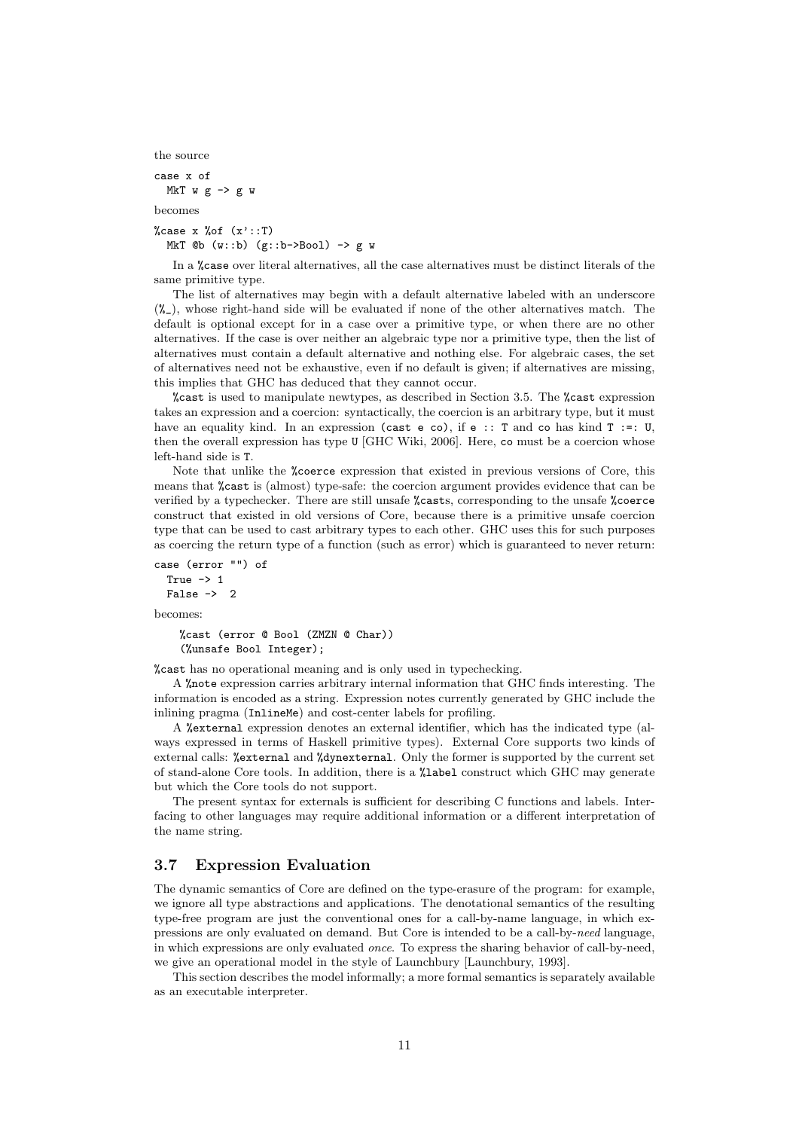```
the source
case x of
 MkT w g \rightarrow g wbecomes
%case x %of (x':T)MkT @b (w::b) (g::b->Bool) -> g w
```
In a %case over literal alternatives, all the case alternatives must be distinct literals of the same primitive type.

The list of alternatives may begin with a default alternative labeled with an underscore  $(\mathcal{K}_-)$ , whose right-hand side will be evaluated if none of the other alternatives match. The default is optional except for in a case over a primitive type, or when there are no other alternatives. If the case is over neither an algebraic type nor a primitive type, then the list of alternatives must contain a default alternative and nothing else. For algebraic cases, the set of alternatives need not be exhaustive, even if no default is given; if alternatives are missing, this implies that GHC has deduced that they cannot occur.

%cast is used to manipulate newtypes, as described in Section 3.5. The %cast expression takes an expression and a coercion: syntactically, the coercion is an arbitrary type, but it must have an equality kind. In an expression (cast e co), if e :: T and co has kind T :=: U, then the overall expression has type U [GHC Wiki, 2006]. Here, co must be a coercion whose left-hand side is T.

Note that unlike the %coerce expression that existed in previous versions of Core, this means that %cast is (almost) type-safe: the coercion argument provides evidence that can be verified by a typechecker. There are still unsafe %casts, corresponding to the unsafe %coerce construct that existed in old versions of Core, because there is a primitive unsafe coercion type that can be used to cast arbitrary types to each other. GHC uses this for such purposes as coercing the return type of a function (such as error) which is guaranteed to never return:

```
case (error "") of
  True \rightarrow 1
  False \rightarrow 2becomes:
```
%cast (error @ Bool (ZMZN @ Char))

(%unsafe Bool Integer);

%cast has no operational meaning and is only used in typechecking.

A %note expression carries arbitrary internal information that GHC finds interesting. The information is encoded as a string. Expression notes currently generated by GHC include the inlining pragma (InlineMe) and cost-center labels for profiling.

A %external expression denotes an external identifier, which has the indicated type (always expressed in terms of Haskell primitive types). External Core supports two kinds of external calls: %external and %dynexternal. Only the former is supported by the current set of stand-alone Core tools. In addition, there is a %label construct which GHC may generate but which the Core tools do not support.

The present syntax for externals is sufficient for describing C functions and labels. Interfacing to other languages may require additional information or a different interpretation of the name string.

### 3.7 Expression Evaluation

The dynamic semantics of Core are defined on the type-erasure of the program: for example, we ignore all type abstractions and applications. The denotational semantics of the resulting type-free program are just the conventional ones for a call-by-name language, in which expressions are only evaluated on demand. But Core is intended to be a call-by-need language, in which expressions are only evaluated once. To express the sharing behavior of call-by-need, we give an operational model in the style of Launchbury [Launchbury, 1993].

This section describes the model informally; a more formal semantics is separately available as an executable interpreter.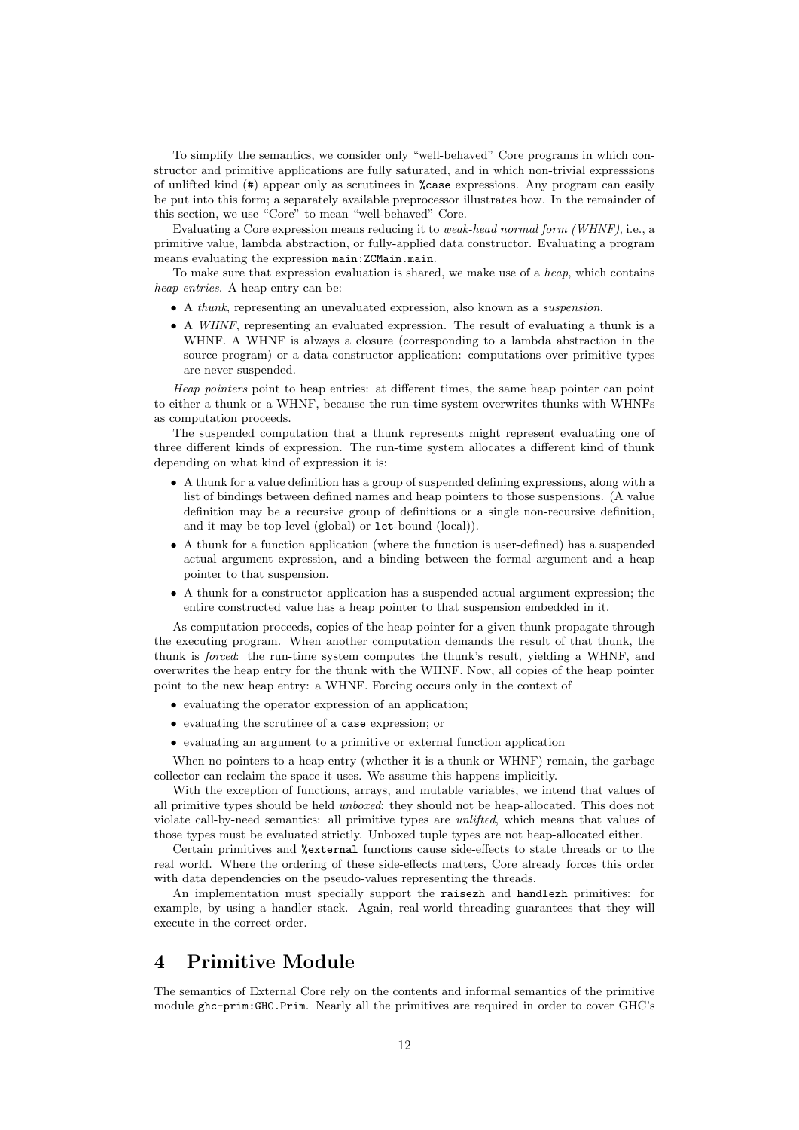To simplify the semantics, we consider only "well-behaved" Core programs in which constructor and primitive applications are fully saturated, and in which non-trivial expresssions of unlifted kind (#) appear only as scrutinees in %case expressions. Any program can easily be put into this form; a separately available preprocessor illustrates how. In the remainder of this section, we use "Core" to mean "well-behaved" Core.

Evaluating a Core expression means reducing it to weak-head normal form (WHNF), i.e., a primitive value, lambda abstraction, or fully-applied data constructor. Evaluating a program means evaluating the expression main:ZCMain.main.

To make sure that expression evaluation is shared, we make use of a heap, which contains heap entries. A heap entry can be:

- A thunk, representing an unevaluated expression, also known as a suspension.
- A WHNF, representing an evaluated expression. The result of evaluating a thunk is a WHNF. A WHNF is always a closure (corresponding to a lambda abstraction in the source program) or a data constructor application: computations over primitive types are never suspended.

Heap pointers point to heap entries: at different times, the same heap pointer can point to either a thunk or a WHNF, because the run-time system overwrites thunks with WHNFs as computation proceeds.

The suspended computation that a thunk represents might represent evaluating one of three different kinds of expression. The run-time system allocates a different kind of thunk depending on what kind of expression it is:

- A thunk for a value definition has a group of suspended defining expressions, along with a list of bindings between defined names and heap pointers to those suspensions. (A value definition may be a recursive group of definitions or a single non-recursive definition, and it may be top-level (global) or let-bound (local)).
- A thunk for a function application (where the function is user-defined) has a suspended actual argument expression, and a binding between the formal argument and a heap pointer to that suspension.
- A thunk for a constructor application has a suspended actual argument expression; the entire constructed value has a heap pointer to that suspension embedded in it.

As computation proceeds, copies of the heap pointer for a given thunk propagate through the executing program. When another computation demands the result of that thunk, the thunk is forced: the run-time system computes the thunk's result, yielding a WHNF, and overwrites the heap entry for the thunk with the WHNF. Now, all copies of the heap pointer point to the new heap entry: a WHNF. Forcing occurs only in the context of

- evaluating the operator expression of an application;
- evaluating the scrutinee of a case expression; or
- evaluating an argument to a primitive or external function application

When no pointers to a heap entry (whether it is a thunk or WHNF) remain, the garbage collector can reclaim the space it uses. We assume this happens implicitly.

With the exception of functions, arrays, and mutable variables, we intend that values of all primitive types should be held unboxed: they should not be heap-allocated. This does not violate call-by-need semantics: all primitive types are unlifted, which means that values of those types must be evaluated strictly. Unboxed tuple types are not heap-allocated either.

Certain primitives and %external functions cause side-effects to state threads or to the real world. Where the ordering of these side-effects matters, Core already forces this order with data dependencies on the pseudo-values representing the threads.

An implementation must specially support the raisezh and handlezh primitives: for example, by using a handler stack. Again, real-world threading guarantees that they will execute in the correct order.

# 4 Primitive Module

The semantics of External Core rely on the contents and informal semantics of the primitive module ghc-prim:GHC.Prim. Nearly all the primitives are required in order to cover GHC's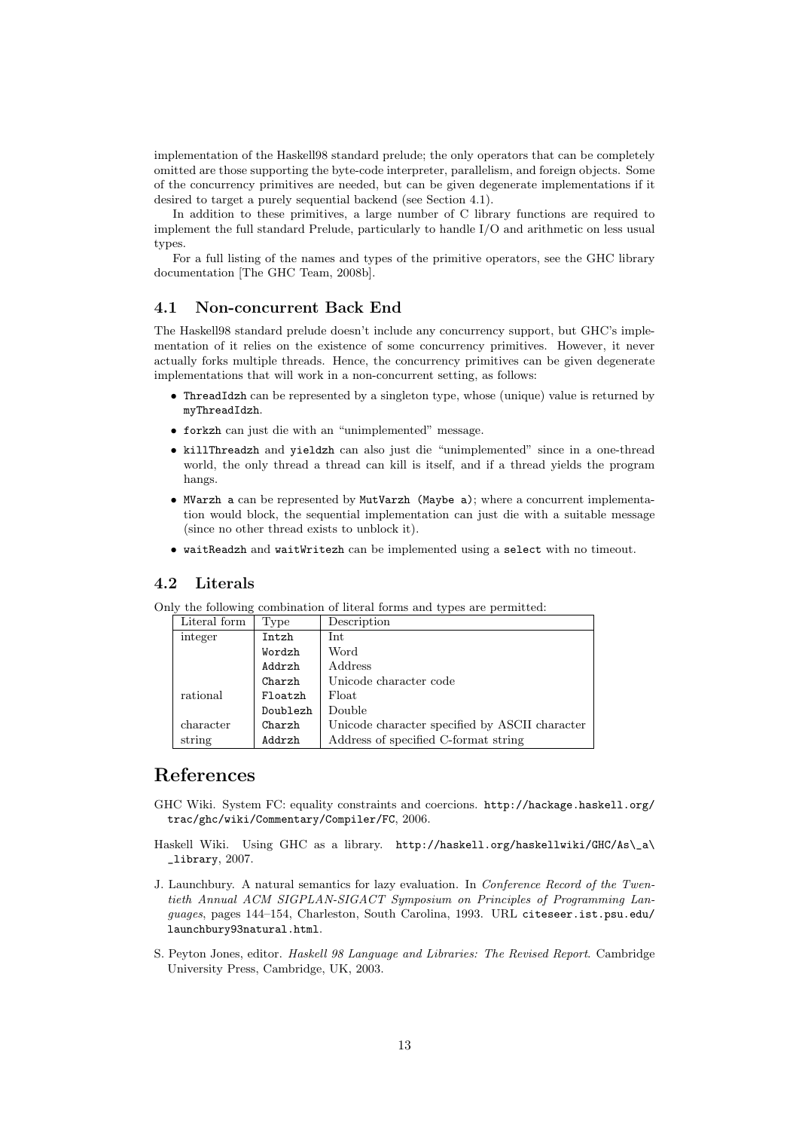implementation of the Haskell98 standard prelude; the only operators that can be completely omitted are those supporting the byte-code interpreter, parallelism, and foreign objects. Some of the concurrency primitives are needed, but can be given degenerate implementations if it desired to target a purely sequential backend (see Section 4.1).

In addition to these primitives, a large number of C library functions are required to implement the full standard Prelude, particularly to handle I/O and arithmetic on less usual types.

For a full listing of the names and types of the primitive operators, see the GHC library documentation [The GHC Team, 2008b].

### 4.1 Non-concurrent Back End

The Haskell98 standard prelude doesn't include any concurrency support, but GHC's implementation of it relies on the existence of some concurrency primitives. However, it never actually forks multiple threads. Hence, the concurrency primitives can be given degenerate implementations that will work in a non-concurrent setting, as follows:

- ThreadIdzh can be represented by a singleton type, whose (unique) value is returned by myThreadIdzh.
- forkzh can just die with an "unimplemented" message.
- killThreadzh and yieldzh can also just die "unimplemented" since in a one-thread world, the only thread a thread can kill is itself, and if a thread yields the program hangs.
- MVarzh a can be represented by MutVarzh (Maybe a); where a concurrent implementation would block, the sequential implementation can just die with a suitable message (since no other thread exists to unblock it).
- waitReadzh and waitWritezh can be implemented using a select with no timeout.

#### 4.2 Literals

Only the following combination of literal forms and types are permitted:

| Literal form | Type     | Description                                    |
|--------------|----------|------------------------------------------------|
| integer      | Intzh    | Int                                            |
|              | Wordzh   | Word                                           |
|              | Addrzh   | Address                                        |
|              | Charzh   | Unicode character code                         |
| rational     | Floatzh  | Float                                          |
|              | Doublezh | Double                                         |
| character    | Charzh   | Unicode character specified by ASCII character |
| string       | Addrzh   | Address of specified C-format string           |

# References

- GHC Wiki. System FC: equality constraints and coercions. http://hackage.haskell.org/ trac/ghc/wiki/Commentary/Compiler/FC, 2006.
- Haskell Wiki. Using GHC as a library. http://haskell.org/haskellwiki/GHC/As\\_a\ \_library, 2007.
- J. Launchbury. A natural semantics for lazy evaluation. In Conference Record of the Twentieth Annual ACM SIGPLAN-SIGACT Symposium on Principles of Programming Languages, pages 144–154, Charleston, South Carolina, 1993. URL citeseer.ist.psu.edu/ launchbury93natural.html.
- S. Peyton Jones, editor. Haskell 98 Language and Libraries: The Revised Report. Cambridge University Press, Cambridge, UK, 2003.